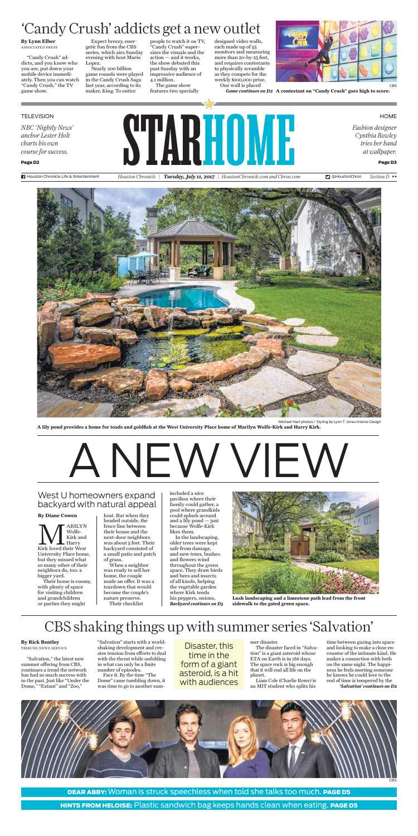*NBC 'Nightly News' anchor Lester Holt charts his own course for success.*

Page D2

STARHOMEN

HOME

CBS

**Fi** Houston Chronicle Life & Entertainment *Houston Chronicle* | *Tuesday, July 11, 2017* | *HoustonChronicle.com and Chron.com* **D** @HoustonChron *Section D* \*\*



 *Fashion designer Cynthia Rowley tries her hand* 

*at wallpaper.*  Page D3

HINTS FROM HELOISE: Plastic sandwich bag keeps hands clean when eating. PAGE D5

MARILYN Kirk loved their West Wolfe-Kirk and Harry University Place home, but they missed what so many other of their neighbors do, too: a bigger yard.

Their home is roomy, with plenty of space for visiting children and grandchildren or parties they might

host. But when they headed outside, the fence line between their house and the next-door neighbors was about 5 feet. Their backyard consisted of a small patio and patch of grass.

When a neighbor was ready to sell her home, the couple made an offer. It was a teardown that would become the couple's nature preserve. Their checklist

included a nice pavilion where their family could gather, a pool where grandkids could splash around and a lily pond — just because Wolfe-Kirk likes them.

"Salvation," the latest new summer offering from CBS, continues a trend the network has had so much success with in the past. Just like "Under the Dome," "Extant" and "Zoo,"

"Salvation" starts with a worldshaking development and creates tension from efforts to deal with the threat while unfolding in what can only be a finite number of episodes.

Face it. By the time "The Dome" came tumbling down, it was time to go to another summer disaster.

The disaster faced in "Salvation" is a giant asteroid whose ETA on Earth is in 186 days. The space rock is big enough that it will end all life on the planet.



DEAR ABBY: Woman is struck speechless when told she talks too much. PAGE D5

Liam Cole (Charlie Rowe) is an MIT student who splits his

"Candy Crush" addicts, and you know who you are, put down your mobile device immediately. Then you can watch "Candy Crush," the TV game show.

> In the landscaping, older trees were kept safe from damage, and new trees, bushes and flowers wind throughout the green space. They draw birds and bees and insects of all kinds, helping the vegetable garden where Kirk tends his peppers, onions, *Backyard continues on D3*

Expect breezy, energetic fun from the CBS series, which airs Sunday evening with host Mario Lopez.

Nearly 200 billion game rounds were played in the Candy Crush Saga last year, according to its maker, King. To entice

people to watch it on TV, "Candy Crush" supersizes the visuals and the action — and it works, the show debuted this past Sunday with an impressive audience of 4.1 million.

The game show features two specially

> time between gazing into space and looking to make a close encounter of the intimate kind. He makes a connection with both on the same night. The happiness he feels meeting someone he knows he could love to the end of time is tempered by the *'Salvation' continues on D2*

designed video walls, each made up of 55 monitors and measuring more than 20-by-25 feet, and requires contestants to physically scramble as they compete for the weekly \$100,000 prize. One wall is placed



Game continues on D2 A contestant on "Candy Crush" goes high to score.

**TELEVISION** 

## West U homeowners expand backyard with natural appeal

# CBS shaking things up with summer series 'Salvation'

# 'Candy Crush' addicts get a new outlet

# A NEW VIEW

### **By Diane Cowen**

## **By Rick Bentley**

TRIBUNE NEWS SERVICE

**By Lynn Elber** ASSOCIATED PRESS

> **A lily pond provides a home for toads and goldfish at the West University Place home of Marilyn Wolfe-Kirk and Harry Kirk.** Michael Hart photos / Styling by Lynn T. Jones Interior Design



**Lush landscaping and a limestone path lead from the front sidewalk to the gated green space.**

Disaster, this time in the form of a giant asteroid, is a hit with audiences